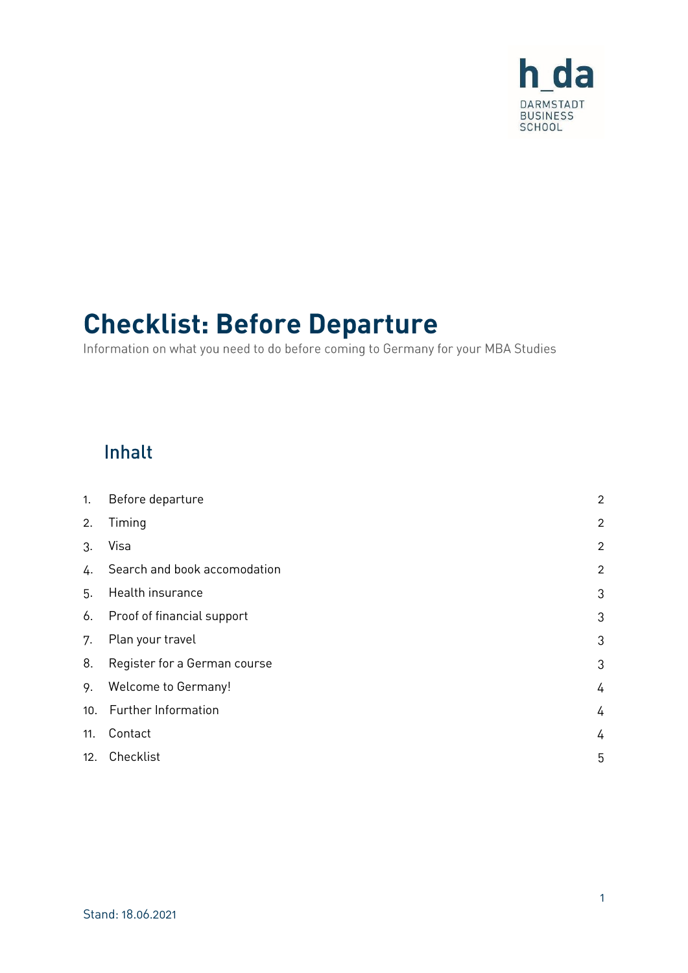

# **Checklist: Before Departure**

Information on what you need to do before coming to Germany for your MBA Studies

### Inhalt

| 1.  | Before departure             | $\overline{a}$ |
|-----|------------------------------|----------------|
| 2.  | Timing                       | $\overline{a}$ |
| 3.  | Visa                         | $\overline{a}$ |
| 4.  | Search and book accomodation | $\overline{a}$ |
| 5.  | Health insurance             | 3              |
| 6.  | Proof of financial support   | 3              |
| 7.  | Plan your travel             | 3              |
| 8.  | Register for a German course | 3              |
| 9.  | <b>Welcome to Germany!</b>   | 4              |
|     | 10. Further Information      | 4              |
| 11. | Contact                      | 4              |
| 12. | Checklist                    | 5              |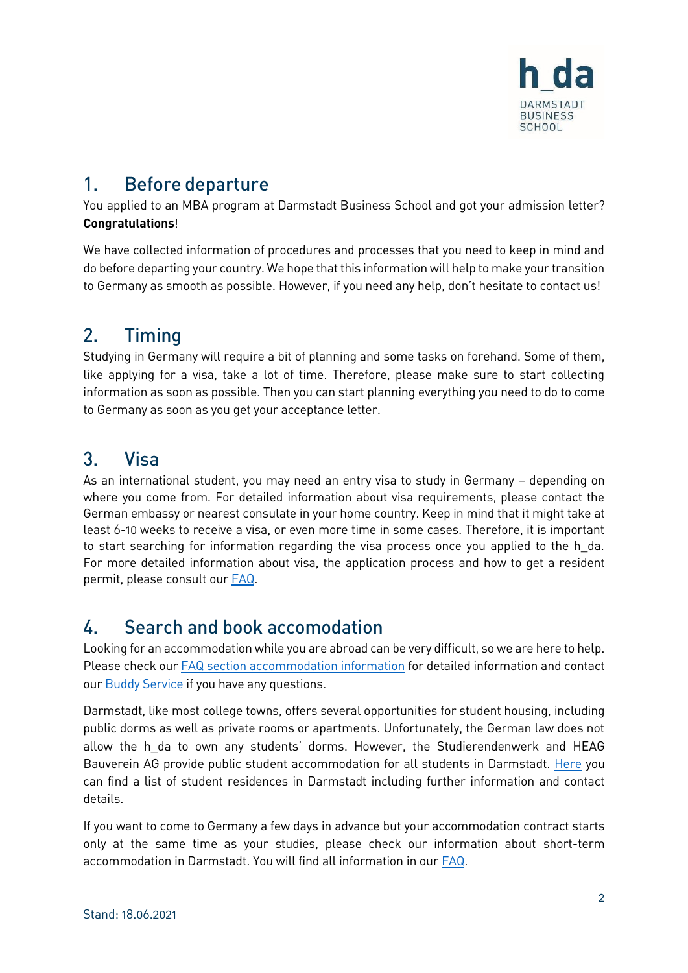

#### <span id="page-1-0"></span> $1_{-}$ **Before departure**

You applied to an MBA program at Darmstadt Business School and got your admission letter? **Congratulations**!

We have collected information of procedures and processes that you need to keep in mind and do before departing your country. We hope that this information will help to make your transition to Germany as smooth as possible. However, if you need any help, don't hesitate to contact us!

#### <span id="page-1-1"></span> $2<sub>1</sub>$ **Timing**

Studying in Germany will require a bit of planning and some tasks on forehand. Some of them, like applying for a visa, take a lot of time. Therefore, please make sure to start collecting information as soon as possible. Then you can start planning everything you need to do to come to Germany as soon as you get your acceptance letter.

#### <span id="page-1-2"></span> $3<sub>l</sub>$ **Visa**

As an international student, you may need an entry visa to study in Germany – depending on where you come from. For detailed information about visa requirements, please contact the German embassy or nearest consulate in your home country. Keep in mind that it might take at least 6-10 weeks to receive a visa, or even more time in some cases. Therefore, it is important to start searching for information regarding the visa process once you applied to the h\_da. For more detailed information about visa, the application process and how to get a resident permit, please consult our [FAQ.](https://mba.h-da.de/index.php?id=615)

#### <span id="page-1-3"></span>Search and book accomodation  $\mathbf{L}$

Looking for an accommodation while you are abroad can be very difficult, so we are here to help. Please check ou[r FAQ section accommodation information](https://mba.h-da.de/index.php?id=615) for detailed information and contact our **Buddy Service** if you have any questions.

Darmstadt, like most college towns, offers several opportunities for student housing, including public dorms as well as private rooms or apartments. Unfortunately, the German law does not allow the h da to own any students' dorms. However, the Studierendenwerk and HEAG Bauverein AG provide public student accommodation for all students in Darmstadt. [Here](https://mba.h-da.de/fileadmin/Einrichtungen/MBA/Dokumente/MBA_Allgemein/FAQ_und_Anleitungen/neue_FAQs/final_Where_to_stay_in_Darmstadt.pdf) you can find a list of student residences in Darmstadt including further information and contact details.

If you want to come to Germany a few days in advance but your accommodation contract starts only at the same time as your studies, please check our information about short-term accommodation in Darmstadt. You will find all information in our [FAQ.](https://mba.h-da.de/index.php?id=615)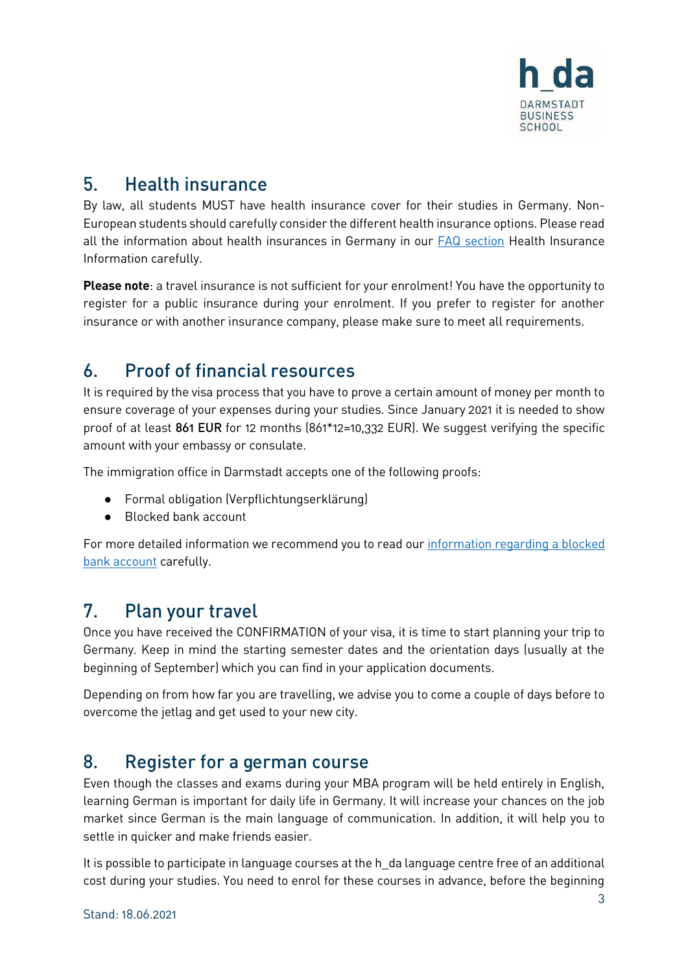

#### <span id="page-2-0"></span> $5<sub>1</sub>$ **Health insurance**

By law, all students MUST have health insurance cover for their studies in Germany. Non-European students should carefully consider the different health insurance options. Please read all the information about health insurances in Germany in our **FAQ** section Health Insurance Information carefully.

**Please note**: a travel insurance is not sufficient for your enrolment! You have the opportunity to register for a public insurance during your enrolment. If you prefer to register for another insurance or with another insurance company, please make sure to meet all requirements.

#### <span id="page-2-1"></span>**Proof of financial resources**  $6.$

It is required by the visa process that you have to prove a certain amount of money per month to ensure coverage of your expenses during your studies. Since January 2021 it is needed to show proof of at least 861 EUR for 12 months (861\*12=10,332 EUR). We suggest verifying the specific amount with your embassy or consulate.

The immigration office in Darmstadt accepts one of the following proofs:

- Formal obligation (Verpflichtungserklärung)
- Blocked bank account

For more detailed information we recommend you to read our [information regarding a blocked](https://mba.h-da.de/index.php?id=615)  bank [account](https://mba.h-da.de/index.php?id=615) carefully.

#### <span id="page-2-2"></span> $7_{-}$ Plan your travel

Once you have received the CONFIRMATION of your visa, it is time to start planning your trip to Germany. Keep in mind the starting semester dates and the orientation days (usually at the beginning of September) which you can find in your application documents.

Depending on from how far you are travelling, we advise you to come a couple of days before to overcome the jetlag and get used to your new city.

#### <span id="page-2-3"></span>Register for a german course  $8<sub>1</sub>$

Even though the classes and exams during your MBA program will be held entirely in English, learning German is important for daily life in Germany. It will increase your chances on the job market since German is the main language of communication. In addition, it will help you to settle in quicker and make friends easier.

It is possible to participate in language courses at the h\_da language centre free of an additional cost during your studies. You need to enrol for these courses in advance, before the beginning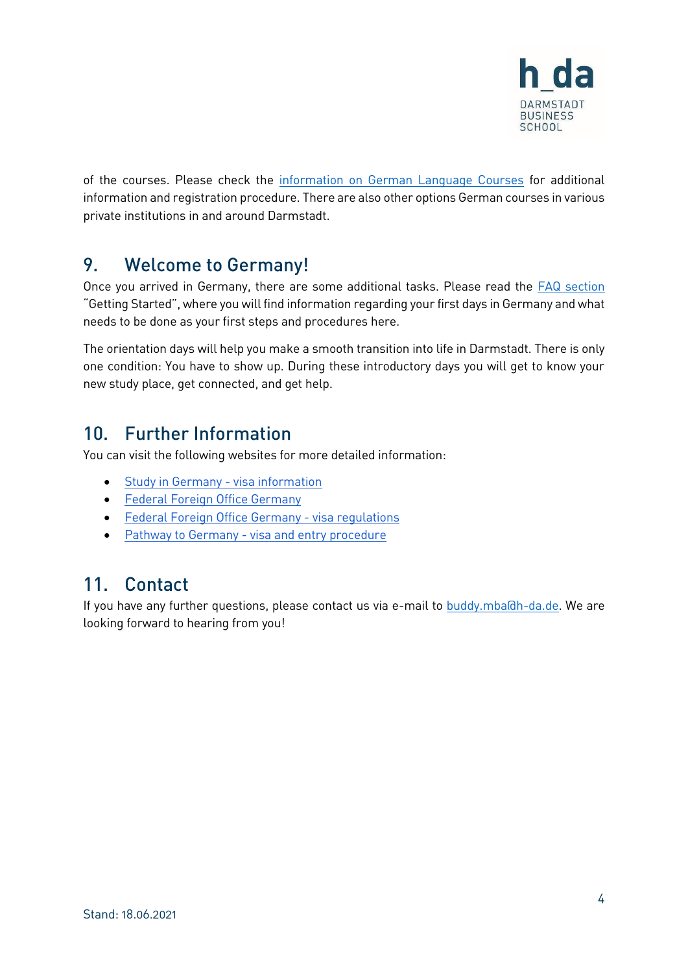

of the courses. Please check the [information on German Language Courses](https://mba.h-da.de/index.php?id=615) for additional information and registration procedure. There are also other options German courses in various private institutions in and around Darmstadt.

#### <span id="page-3-0"></span>**Welcome to Germany!** 9.

Once you arrived in Germany, there are some additional tasks. Please read the [FAQ section](https://mba.h-da.de/index.php?id=615) "Getting Started", where you will find information regarding your first days in Germany and what needs to be done as your first steps and procedures here.

The orientation days will help you make a smooth transition into life in Darmstadt. There is only one condition: You have to show up. During these introductory days you will get to know your new study place, get connected, and get help.

### <span id="page-3-1"></span>10. Further Information

You can visit the following websites for more detailed information:

- [Study in Germany -](https://www.study-in-germany.de/en/plan-your-studies/requirements/visa_26604.php) visa information
- [Federal Foreign Office Germany](https://www.auswaertiges-amt.de/en)
- **•** [Federal Foreign Office Germany -](https://www.auswaertiges-amt.de/en/einreiseundaufenthalt/visabestimmungen-node) visa regulations
- Pathway to Germany [visa and entry procedure](https://www.make-it-in-germany.com/en/visa/applying/entry-visa-process/)

#### <span id="page-3-2"></span> $11<sub>1</sub>$ Contact

If you have any further questions, please contact us via e-mail to [buddy.mba@h-da.de.](mailto:buddy.mba@h-da.de) We are looking forward to hearing from you!